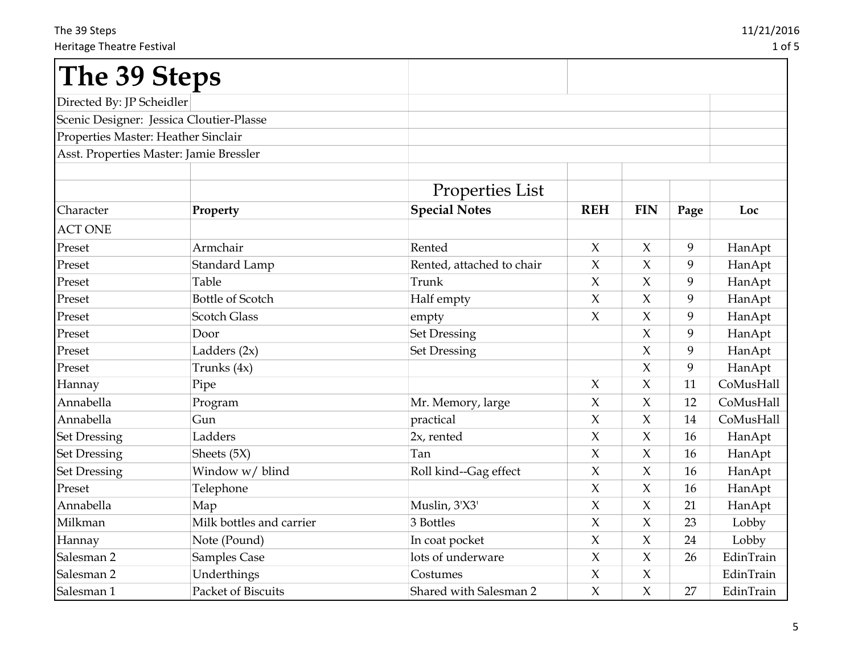| The 39 Steps                             |                          |                           |                     |                     |      |           |
|------------------------------------------|--------------------------|---------------------------|---------------------|---------------------|------|-----------|
| Directed By: JP Scheidler                |                          |                           |                     |                     |      |           |
| Scenic Designer: Jessica Cloutier-Plasse |                          |                           |                     |                     |      |           |
| Properties Master: Heather Sinclair      |                          |                           |                     |                     |      |           |
| Asst. Properties Master: Jamie Bressler  |                          |                           |                     |                     |      |           |
|                                          |                          | <b>Properties List</b>    |                     |                     |      |           |
| Character                                | Property                 | <b>Special Notes</b>      | <b>REH</b>          | <b>FIN</b>          | Page | Loc       |
| <b>ACT ONE</b>                           |                          |                           |                     |                     |      |           |
| Preset                                   | Armchair                 | Rented                    | X                   | X                   | 9    | HanApt    |
| Preset                                   | Standard Lamp            | Rented, attached to chair | $\chi$              | $\chi$              | 9    | HanApt    |
| Preset                                   | Table                    | Trunk                     | $\chi$              | $\chi$              | 9    | HanApt    |
| Preset                                   | <b>Bottle of Scotch</b>  | Half empty                | $\chi$              | $\chi$              | 9    | HanApt    |
| Preset                                   | <b>Scotch Glass</b>      | empty                     | $\chi$              | X                   | 9    | HanApt    |
| Preset                                   | Door                     | <b>Set Dressing</b>       |                     | $\chi$              | 9    | HanApt    |
| Preset                                   | Ladders (2x)             | <b>Set Dressing</b>       |                     | X                   | 9    | HanApt    |
| Preset                                   | Trunks $(4x)$            |                           |                     | $\chi$              | 9    | HanApt    |
| Hannay                                   | Pipe                     |                           | $\chi$              | $\chi$              | 11   | CoMusHall |
| Annabella                                | Program                  | Mr. Memory, large         | X                   | X                   | 12   | CoMusHall |
| Annabella                                | Gun                      | practical                 | $\chi$              | X                   | 14   | CoMusHall |
| <b>Set Dressing</b>                      | Ladders                  | $2x$ , rented             | $\boldsymbol{\chi}$ | X                   | 16   | HanApt    |
| <b>Set Dressing</b>                      | Sheets (5X)              | Tan                       | $\chi$              | $\chi$              | 16   | HanApt    |
| <b>Set Dressing</b>                      | Window w/ blind          | Roll kind--Gag effect     | $\chi$              | X                   | 16   | HanApt    |
| Preset                                   | Telephone                |                           | $\chi$              | X                   | 16   | HanApt    |
| Annabella                                | Map                      | Muslin, 3'X3'             | $\chi$              | X                   | 21   | HanApt    |
| Milkman                                  | Milk bottles and carrier | 3 Bottles                 | $\boldsymbol{\chi}$ | $\boldsymbol{\chi}$ | 23   | Lobby     |
| Hannay                                   | Note (Pound)             | In coat pocket            | $\boldsymbol{\chi}$ | $\chi$              | 24   | Lobby     |
| Salesman <sub>2</sub>                    | <b>Samples Case</b>      | lots of underware         | $\chi$              | X                   | 26   | EdinTrain |
| Salesman 2                               | Underthings              | Costumes                  | $\chi$              | $\chi$              |      | EdinTrain |
| Salesman 1                               | Packet of Biscuits       | Shared with Salesman 2    | $\mathsf X$         | $\chi$              | 27   | EdinTrain |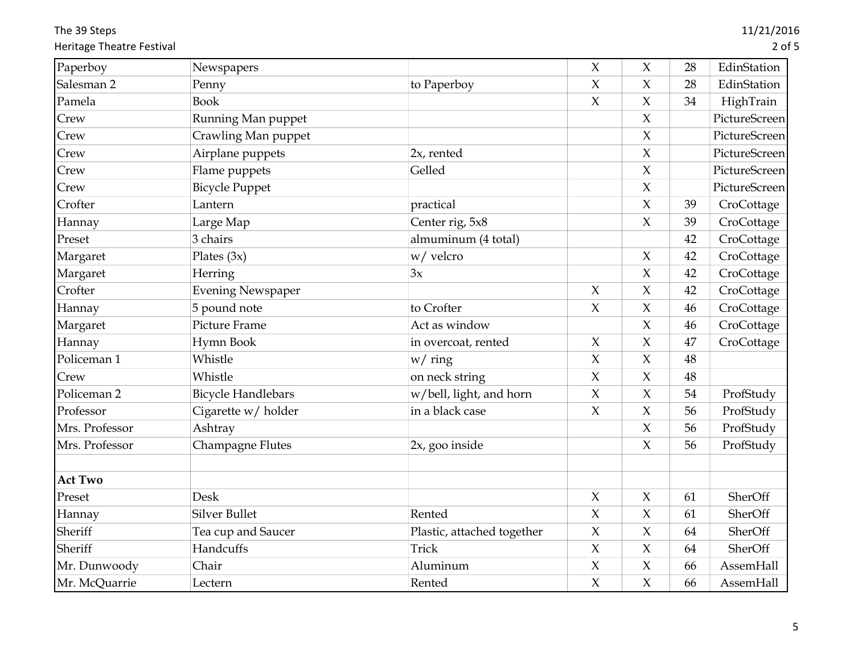The 39 Steps Heritage Theatre Festival

| Paperboy               | Newspapers                |                            | $\mathsf X$         | $\chi$              | 28 | EdinStation   |
|------------------------|---------------------------|----------------------------|---------------------|---------------------|----|---------------|
| Salesman 2             | Penny                     | to Paperboy                | $\chi$              | $\boldsymbol{\chi}$ | 28 | EdinStation   |
| Pamela                 | <b>Book</b>               |                            | $\boldsymbol{\chi}$ | $\boldsymbol{\chi}$ | 34 | HighTrain     |
| Crew                   | Running Man puppet        |                            |                     | $\chi$              |    | PictureScreen |
| Crew                   | Crawling Man puppet       |                            |                     | $\chi$              |    | PictureScreen |
| Crew                   | Airplane puppets          | $2x$ , rented              |                     | $\chi$              |    | PictureScreen |
| Crew                   | Flame puppets             | Gelled                     |                     | $\chi$              |    | PictureScreen |
| Crew                   | <b>Bicycle Puppet</b>     |                            |                     | $\chi$              |    | PictureScreen |
| Crofter                | Lantern                   | practical                  |                     | $\chi$              | 39 | CroCottage    |
| Hannay                 | Large Map                 | Center rig, 5x8            |                     | $\mathsf X$         | 39 | CroCottage    |
| Preset                 | 3 chairs                  | almuminum (4 total)        |                     |                     | 42 | CroCottage    |
| Margaret               | Plates $(3x)$             | w/ velcro                  |                     | $\mathsf X$         | 42 | CroCottage    |
| Margaret               | Herring                   | 3x                         |                     | $\chi$              | 42 | CroCottage    |
| Crofter                | <b>Evening Newspaper</b>  |                            | $\chi$              | $\chi$              | 42 | CroCottage    |
| Hannay                 | 5 pound note              | to Crofter                 | $\chi$              | $\boldsymbol{\chi}$ | 46 | CroCottage    |
| Margaret               | Picture Frame             | Act as window              |                     | $\boldsymbol{\chi}$ | 46 | CroCottage    |
| Hannay                 | Hymn Book                 | in overcoat, rented        | $\boldsymbol{\chi}$ | $\boldsymbol{\chi}$ | 47 | CroCottage    |
| Policeman 1            | Whistle                   | $w /$ ring                 | $\boldsymbol{\chi}$ | $\boldsymbol{\chi}$ | 48 |               |
| Crew                   | Whistle                   | on neck string             | $\chi$              | $\chi$              | 48 |               |
| Policeman <sub>2</sub> | <b>Bicycle Handlebars</b> | w/bell, light, and horn    | $\boldsymbol{\chi}$ | $\boldsymbol{\chi}$ | 54 | ProfStudy     |
| Professor              | Cigarette w/ holder       | in a black case            | $\chi$              | $\chi$              | 56 | ProfStudy     |
| Mrs. Professor         | Ashtray                   |                            |                     | $\boldsymbol{\chi}$ | 56 | ProfStudy     |
| Mrs. Professor         | Champagne Flutes          | 2x, goo inside             |                     | $\boldsymbol{\chi}$ | 56 | ProfStudy     |
| <b>Act Two</b>         |                           |                            |                     |                     |    |               |
| Preset                 | Desk                      |                            | $\boldsymbol{\chi}$ | $\boldsymbol{\chi}$ | 61 | SherOff       |
| Hannay                 | <b>Silver Bullet</b>      | Rented                     | $\boldsymbol{\chi}$ | $\chi$              | 61 | SherOff       |
| Sheriff                | Tea cup and Saucer        | Plastic, attached together | $\boldsymbol{\chi}$ | $\chi$              | 64 | SherOff       |
| Sheriff                | Handcuffs                 | Trick                      | $\chi$              | $\mathsf X$         | 64 | SherOff       |
| Mr. Dunwoody           | Chair                     | Aluminum                   | $\boldsymbol{\chi}$ | $\boldsymbol{\chi}$ | 66 | AssemHall     |
| Mr. McQuarrie          | Lectern                   | Rented                     | $\chi$              | $\chi$              | 66 | AssemHall     |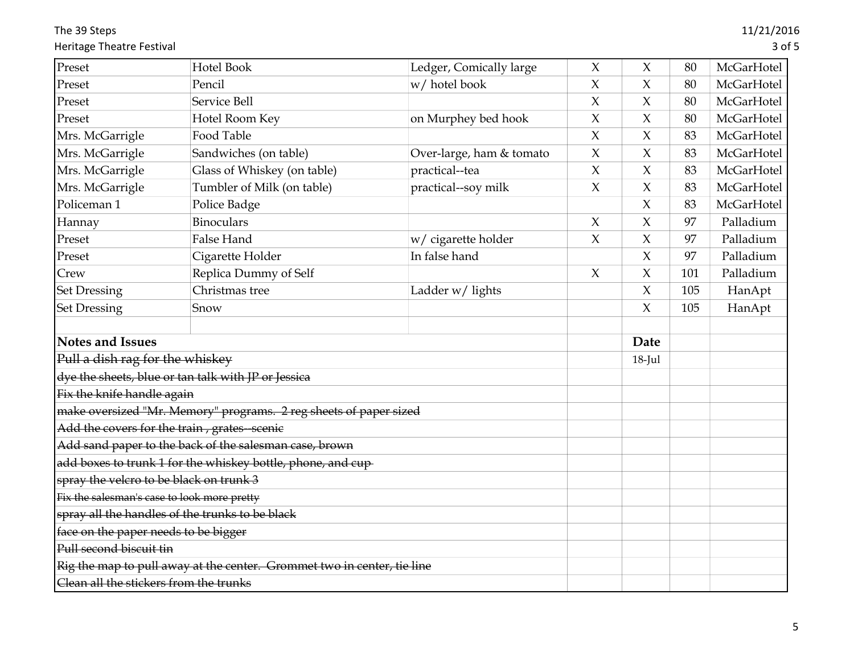The 39 Steps Heritage Theatre Festival

| Hotel Book                                                              | Ledger, Comically large  | $\mathsf X$ | $\chi$              | 80   | <b>McGarHotel</b> |
|-------------------------------------------------------------------------|--------------------------|-------------|---------------------|------|-------------------|
| Pencil                                                                  | w/ hotel book            | $\chi$      | $\chi$              | 80   | McGarHotel        |
| Service Bell                                                            |                          | $\chi$      | $\chi$              | 80   | McGarHotel        |
| Hotel Room Key                                                          | on Murphey bed hook      | $\chi$      | $\chi$              | 80   | McGarHotel        |
| Food Table                                                              |                          | $\chi$      | $\chi$              | 83   | McGarHotel        |
| Sandwiches (on table)                                                   | Over-large, ham & tomato | $\chi$      | $\chi$              | 83   | McGarHotel        |
| Glass of Whiskey (on table)                                             | practical--tea           | $\chi$      | $\chi$              | 83   | McGarHotel        |
| Tumbler of Milk (on table)                                              | practical--soy milk      | $\chi$      | $\chi$              | 83   | McGarHotel        |
| Police Badge                                                            |                          |             | $\chi$              | 83   | McGarHotel        |
| <b>Binoculars</b>                                                       |                          | $\chi$      | $\chi$              | 97   | Palladium         |
| False Hand                                                              | w/ cigarette holder      | $\chi$      | $\chi$              | 97   | Palladium         |
| Cigarette Holder                                                        | In false hand            |             | $\chi$              | 97   | Palladium         |
| Replica Dummy of Self                                                   |                          | $\chi$      | $\boldsymbol{\chi}$ | 101  | Palladium         |
| Christmas tree                                                          | Ladder w/ lights         |             | $\chi$              | 105  | HanApt            |
| Snow                                                                    |                          |             | $\chi$              | 105  | HanApt            |
|                                                                         |                          |             |                     |      |                   |
| <b>Notes and Issues</b>                                                 |                          |             |                     |      |                   |
| Pull a dish rag for the whiskey                                         |                          |             | 18-Jul              |      |                   |
| dye the sheets, blue or tan talk with JP or Jessica                     |                          |             |                     |      |                   |
| Fix the knife handle again                                              |                          |             |                     |      |                   |
| make oversized "Mr. Memory" programs. 2 reg sheets of paper sized       |                          |             |                     |      |                   |
| Add the covers for the train, grates-scenie                             |                          |             |                     |      |                   |
| Add sand paper to the back of the salesman case, brown                  |                          |             |                     |      |                   |
| add boxes to trunk 1 for the whiskey bottle, phone, and cup-            |                          |             |                     |      |                   |
| spray the velcro to be black on trunk 3                                 |                          |             |                     |      |                   |
| Fix the salesman's case to look more pretty                             |                          |             |                     |      |                   |
| spray all the handles of the trunks to be black                         |                          |             |                     |      |                   |
|                                                                         |                          |             |                     |      |                   |
| face on the paper needs to be bigger                                    |                          |             |                     |      |                   |
|                                                                         |                          |             |                     |      |                   |
| Rig the map to pull away at the center. Grommet two in center, tie line |                          |             |                     |      |                   |
|                                                                         |                          |             |                     | Date |                   |